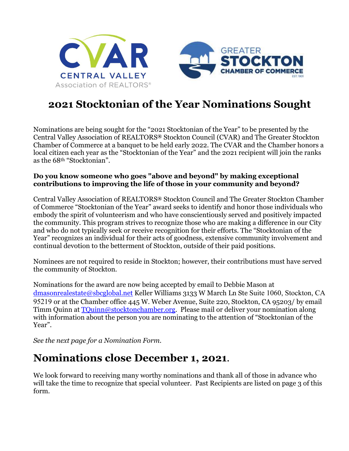



## **2021 Stocktonian of the Year Nominations Sought**

Nominations are being sought for the "2021 Stocktonian of the Year" to be presented by the Central Valley Association of REALTORS**®** Stockton Council (CVAR) and The Greater Stockton Chamber of Commerce at a banquet to be held early 2022. The CVAR and the Chamber honors a local citizen each year as the "Stocktonian of the Year" and the 2021 recipient will join the ranks as the 68th "Stocktonian".

### **Do you know someone who goes "above and beyond" by making exceptional contributions to improving the life of those in your community and beyond?**

Central Valley Association of REALTORS**®** Stockton Council and The Greater Stockton Chamber of Commerce "Stocktonian of the Year" award seeks to identify and honor those individuals who embody the spirit of volunteerism and who have conscientiously served and positively impacted the community. This program strives to recognize those who are making a difference in our City and who do not typically seek or receive recognition for their efforts. The "Stocktonian of the Year" recognizes an individual for their acts of goodness, extensive community involvement and continual devotion to the betterment of Stockton, outside of their paid positions.

Nominees are not required to reside in Stockton; however, their contributions must have served the community of Stockton.

Nominations for the award are now being accepted by email to Debbie Mason at dmasonrealestate@sbcglobal.net Keller Williams 3133 W March Ln Ste Suite 1060, Stockton, CA 95219 or at the Chamber office 445 W. Weber Avenue, Suite 220, Stockton, CA 95203/ by email Timm Quinn at  $\overline{\text{TQuinn}\omega\text{stocktonchamber.org}}$ . Please mail or deliver your nomination along with information about the person you are nominating to the attention of "Stocktonian of the Year".

*See the next page for a Nomination Form.* 

## **Nominations close December 1, 2021**.

We look forward to receiving many worthy nominations and thank all of those in advance who will take the time to recognize that special volunteer. Past Recipients are listed on page 3 of this form.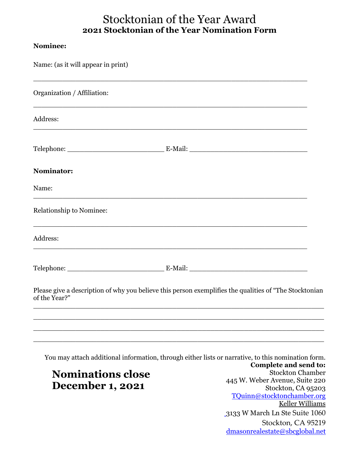### Stocktonian of the Year Award **2021 Stocktonian of the Year Nomination Form**

#### **Nominee:**

| Name: (as it will appear in print)                                                                                                                                                             |                                                                                                              |
|------------------------------------------------------------------------------------------------------------------------------------------------------------------------------------------------|--------------------------------------------------------------------------------------------------------------|
| Organization / Affiliation:                                                                                                                                                                    |                                                                                                              |
| <u> 1989 - Johann Stoff, deutscher Stoff, der Stoff, der Stoff, der Stoff, der Stoff, der Stoff, der Stoff, der S</u><br>Address:<br><u> 1989 - Johann Stoff, amerikansk politik (d. 1989)</u> |                                                                                                              |
|                                                                                                                                                                                                |                                                                                                              |
| <b>Nominator:</b>                                                                                                                                                                              |                                                                                                              |
| Name:                                                                                                                                                                                          |                                                                                                              |
| Relationship to Nominee:                                                                                                                                                                       |                                                                                                              |
| Address:<br><u> 1989 - Jan James James James James James James James James James James James James James James James James J</u>                                                               |                                                                                                              |
|                                                                                                                                                                                                |                                                                                                              |
| Please give a description of why you believe this person exemplifies the qualities of "The Stocktonian<br>of the Year?"                                                                        |                                                                                                              |
| You may attach additional information, through either lists or narrative, to this nomination form.<br><b>Nominations close</b>                                                                 | Complete and send to:<br><b>Stockton Chamber</b>                                                             |
| <b>December 1, 2021</b>                                                                                                                                                                        | 445 W. Weber Avenue, Suite 220<br>Stockton, CA 95203<br>TQuinn@stocktonchamber.org<br><b>Keller Williams</b> |

3133 W March Ln Ste Suite 1060 Stockton, CA 95219 dmasonrealestate@sbcglobal.net